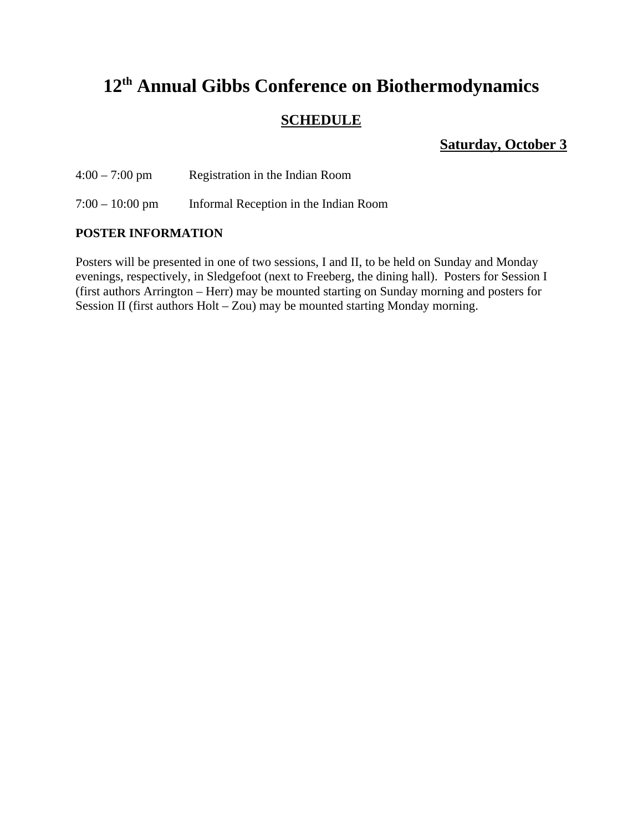# **12th Annual Gibbs Conference on Biothermodynamics**

## **SCHEDULE**

**Saturday, October 3**

4:00 – 7:00 pm Registration in the Indian Room

7:00 – 10:00 pm Informal Reception in the Indian Room

## **POSTER INFORMATION**

Posters will be presented in one of two sessions, I and II, to be held on Sunday and Monday evenings, respectively, in Sledgefoot (next to Freeberg, the dining hall). Posters for Session I (first authors Arrington – Herr) may be mounted starting on Sunday morning and posters for Session II (first authors Holt – Zou) may be mounted starting Monday morning.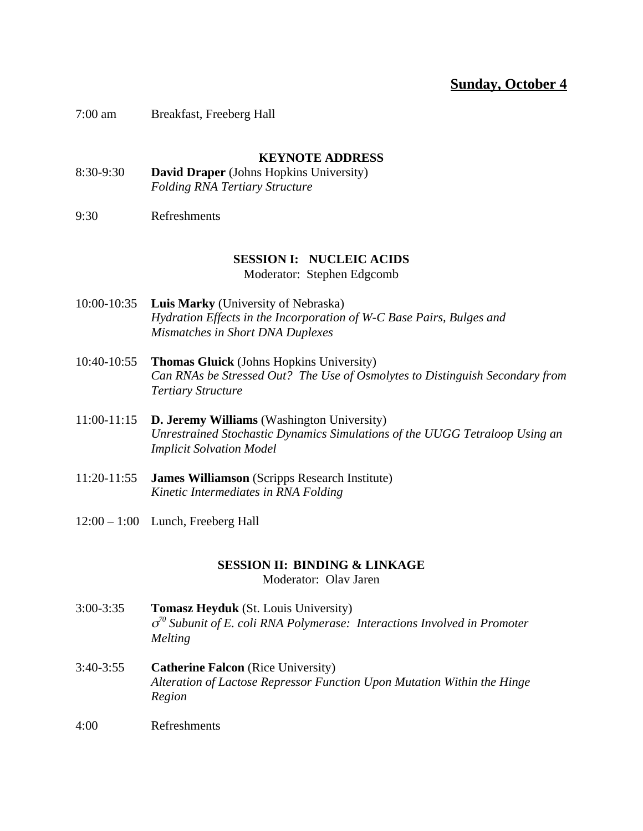## **Sunday, October 4**

7:00 am Breakfast, Freeberg Hall

### **KEYNOTE ADDRESS**

- 8:30-9:30 **David Draper** (Johns Hopkins University) *Folding RNA Tertiary Structure*
- 9:30 Refreshments

## **SESSION I: NUCLEIC ACIDS**

Moderator: Stephen Edgcomb

- 10:00-10:35 **Luis Marky** (University of Nebraska) *Hydration Effects in the Incorporation of W-C Base Pairs, Bulges and Mismatches in Short DNA Duplexes*
- 10:40-10:55 **Thomas Gluick** (Johns Hopkins University) *Can RNAs be Stressed Out? The Use of Osmolytes to Distinguish Secondary from Tertiary Structure*
- 11:00-11:15 **D. Jeremy Williams** (Washington University) *Unrestrained Stochastic Dynamics Simulations of the UUGG Tetraloop Using an Implicit Solvation Model*
- 11:20-11:55 **James Williamson** (Scripps Research Institute) *Kinetic Intermediates in RNA Folding*
- 12:00 1:00 Lunch, Freeberg Hall

### **SESSION II: BINDING & LINKAGE**

Moderator: Olav Jaren

- 3:00-3:35 **Tomasz Heyduk** (St. Louis University) <sup>σ</sup>*70 Subunit of E. coli RNA Polymerase: Interactions Involved in Promoter Melting*
- 3:40-3:55 **Catherine Falcon** (Rice University) *Alteration of Lactose Repressor Function Upon Mutation Within the Hinge Region*
- 4:00 Refreshments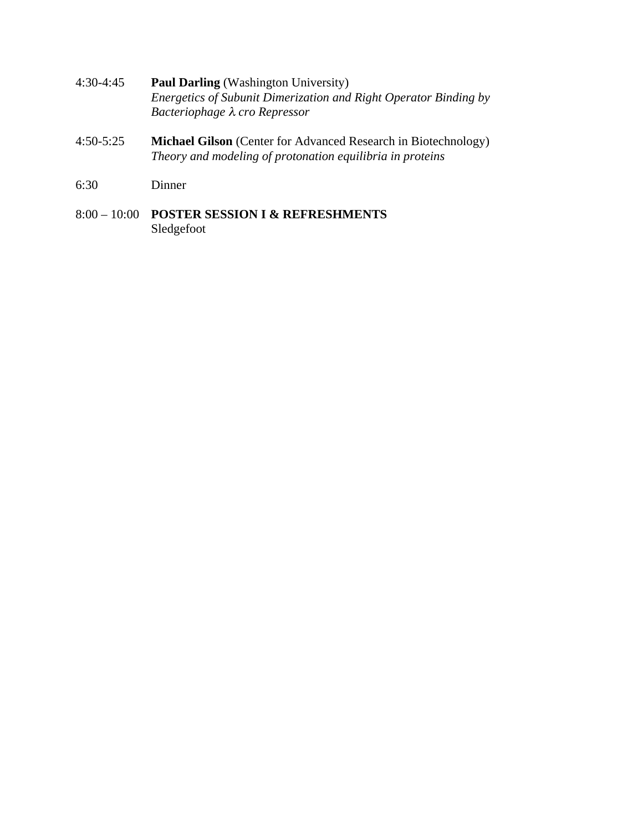- 4:30-4:45 **Paul Darling** (Washington University) *Energetics of Subunit Dimerization and Right Operator Binding by Bacteriophage* λ *cro Repressor*
- 4:50-5:25 **Michael Gilson** (Center for Advanced Research in Biotechnology) *Theory and modeling of protonation equilibria in proteins*
- 6:30 Dinner
- 8:00 10:00 **POSTER SESSION I & REFRESHMENTS** Sledgefoot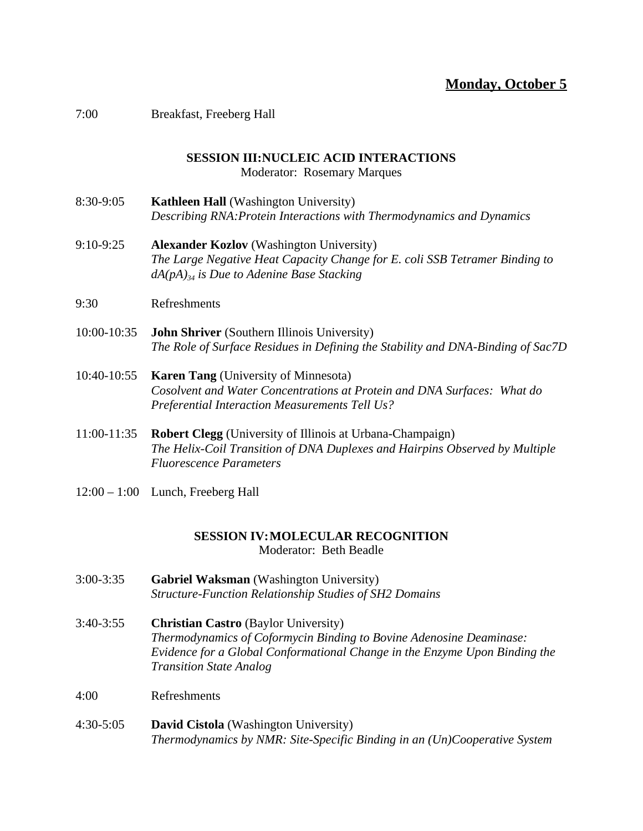## **Monday, October 5**

### 7:00 Breakfast, Freeberg Hall

## **SESSION III:NUCLEIC ACID INTERACTIONS**

Moderator: Rosemary Marques

- 8:30-9:05 **Kathleen Hall** (Washington University) *Describing RNA:Protein Interactions with Thermodynamics and Dynamics*
- 9:10-9:25 **Alexander Kozlov** (Washington University) *The Large Negative Heat Capacity Change for E. coli SSB Tetramer Binding to dA(pA)34 is Due to Adenine Base Stacking*
- 9:30 Refreshments
- 10:00-10:35 **John Shriver** (Southern Illinois University) *The Role of Surface Residues in Defining the Stability and DNA-Binding of Sac7D*
- 10:40-10:55 **Karen Tang** (University of Minnesota) *Cosolvent and Water Concentrations at Protein and DNA Surfaces: What do Preferential Interaction Measurements Tell Us?*
- 11:00-11:35 **Robert Clegg** (University of Illinois at Urbana-Champaign) *The Helix-Coil Transition of DNA Duplexes and Hairpins Observed by Multiple Fluorescence Parameters*
- 12:00 1:00 Lunch, Freeberg Hall

### **SESSION IV:MOLECULAR RECOGNITION** Moderator: Beth Beadle

- 3:00-3:35 **Gabriel Waksman** (Washington University) *Structure-Function Relationship Studies of SH2 Domains*
- 3:40-3:55 **Christian Castro** (Baylor University) *Thermodynamics of Coformycin Binding to Bovine Adenosine Deaminase: Evidence for a Global Conformational Change in the Enzyme Upon Binding the Transition State Analog*
- 4:00 Refreshments
- 4:30-5:05 **David Cistola** (Washington University) *Thermodynamics by NMR: Site-Specific Binding in an (Un)Cooperative System*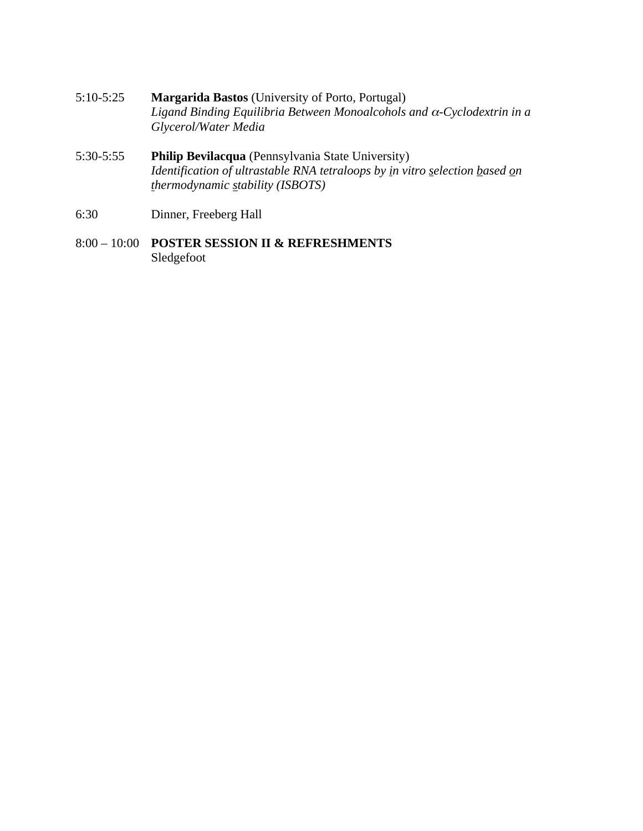- 5:10-5:25 **Margarida Bastos** (University of Porto, Portugal) *Ligand Binding Equilibria Between Monoalcohols and* α*-Cyclodextrin in a Glycerol/Water Media*
- 5:30-5:55 **Philip Bevilacqua** (Pennsylvania State University) *Identification of ultrastable RNA tetraloops by in vitro selection based on thermodynamic stability (ISBOTS)*
- 6:30 Dinner, Freeberg Hall
- 8:00 10:00 **POSTER SESSION II & REFRESHMENTS** Sledgefoot